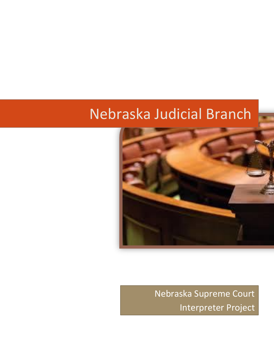# Nebraska Judicial Branch



Nebraska Supreme Court Interpreter Project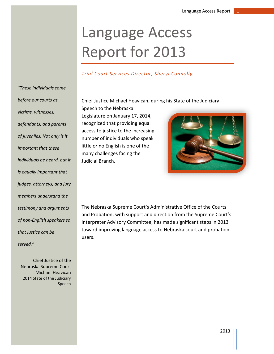# Language Access Report for 2013

#### *Trial Court Services Director, Sheryl Connolly*

Chief Justice Michael Heavican, during his State of the Judiciary

*"These individuals come before our courts as victims, witnesses, defendants, and parents of juveniles. Not only is it important that these individuals be heard, but it is equally important that judges, attorneys, and jury members understand the testimony and arguments of non-English speakers so that justice can be served."* 

Chief Justice of the Nebraska Supreme Court Michael Heavican 2014 State of the Judiciary Speech

Speech to the Nebraska Legislature on January 17, 2014, recognized that providing equal access to justice to the increasing number of individuals who speak little or no English is one of the many challenges facing the Judicial Branch.



The Nebraska Supreme Court's Administrative Office of the Courts and Probation, with support and direction from the Supreme Court's Interpreter Advisory Committee, has made significant steps in 2013 toward improving language access to Nebraska court and probation users.

2013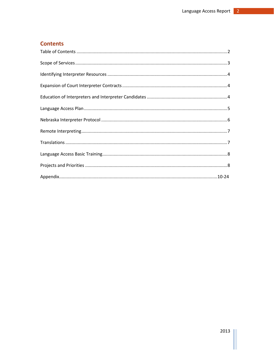## <span id="page-2-0"></span>**Contents**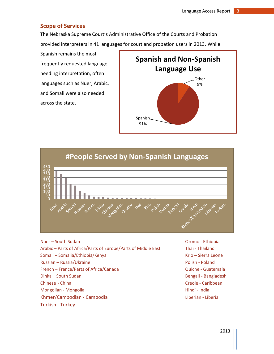#### <span id="page-3-0"></span>**Scope of Services**

The Nebraska Supreme Court's Administrative Office of the Courts and Probation provided interpreters in 41 languages for court and probation users in 2013. While

Spanish remains the most frequently requested language needing interpretation, often languages such as Nuer, Arabic, and Somali were also needed across the state.





Nuer – South Sudan Oromo - Ethiopia Arabic – Parts of Africa/Parts of Europe/Parts of Middle East Thai - Thailand Somali – Somalia/Ethiopia/Kenya Krio – Sierra Leone Russian – Russia/Ukraine Polish - Poland French – France/Parts of Africa/Canada Quiche - Guatemala Dinka – South Sudan Bengali - Bangladesh Chinese - China Creole - Caribbean Mongolian - Mongolia **Hindi - India** Hindi - India Khmer/Cambodian - Cambodia Liberian - Liberian - Liberian - Liberian - Liberian - Liberian - Liberian - Liberia Turkish - Turkey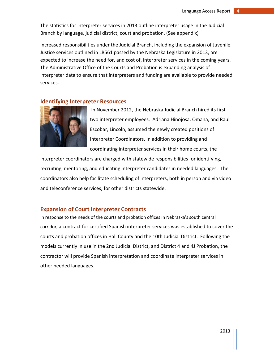The statistics for interpreter services in 2013 outline interpreter usage in the Judicial Branch by language, judicial district, court and probation. (See appendix)

Increased responsibilities under the Judicial Branch, including the expansion of Juvenile Justice services outlined in LB561 passed by the Nebraska Legislature in 2013, are expected to increase the need for, and cost of, interpreter services in the coming years. The Administrative Office of the Courts and Probation is expanding analysis of interpreter data to ensure that interpreters and funding are available to provide needed services.

#### **Identifying Interpreter Resources**



In November 2012, the Nebraska Judicial Branch hired its first two interpreter employees. Adriana Hinojosa, Omaha, and Raul Escobar, Lincoln, assumed the newly created positions of Interpreter Coordinators. In addition to providing and coordinating interpreter services in their home courts, the

interpreter coordinators are charged with statewide responsibilities for identifying, recruiting, mentoring, and educating interpreter candidates in needed languages. The coordinators also help facilitate scheduling of interpreters, both in person and via video and teleconference services, for other districts statewide.

#### **Expansion of Court Interpreter Contracts**

In response to the needs of the courts and probation offices in Nebraska's south central corridor, a contract for certified Spanish interpreter services was established to cover the courts and probation offices in Hall County and the 10th Judicial District. Following the models currently in use in the 2nd Judicial District, and District 4 and 4J Probation, the contractor will provide Spanish interpretation and coordinate interpreter services in other needed languages.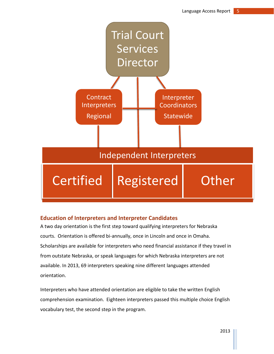

## **Education of Interpreters and Interpreter Candidates**

A two day orientation is the first step toward qualifying interpreters for Nebraska courts. Orientation is offered bi-annually, once in Lincoln and once in Omaha. Scholarships are available for interpreters who need financial assistance if they travel in from outstate Nebraska, or speak languages for which Nebraska interpreters are not available. In 2013, 69 interpreters speaking nine different languages attended orientation.

Interpreters who have attended orientation are eligible to take the written English comprehension examination. Eighteen interpreters passed this multiple choice English vocabulary test, the second step in the program.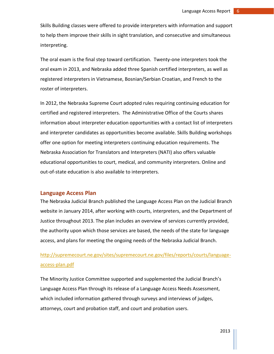Skills Building classes were offered to provide interpreters with information and support to help them improve their skills in sight translation, and consecutive and simultaneous interpreting.

The oral exam is the final step toward certification. Twenty-one interpreters took the oral exam in 2013, and Nebraska added three Spanish certified interpreters, as well as registered interpreters in Vietnamese, Bosnian/Serbian Croatian, and French to the roster of interpreters.

In 2012, the Nebraska Supreme Court adopted rules requiring continuing education for certified and registered interpreters. The Administrative Office of the Courts shares information about interpreter education opportunities with a contact list of interpreters and interpreter candidates as opportunities become available. Skills Building workshops offer one option for meeting interpreters continuing education requirements. The Nebraska Association for Translators and Interpreters (NATI) also offers valuable educational opportunities to court, medical, and community interpreters. Online and out-of-state education is also available to interpreters.

#### **Language Access Plan**

The Nebraska Judicial Branch published the Language Access Plan on the Judicial Branch website in January 2014, after working with courts, interpreters, and the Department of Justice throughout 2013. The plan includes an overview of services currently provided, the authority upon which those services are based, the needs of the state for language access, and plans for meeting the ongoing needs of the Nebraska Judicial Branch.

[http://supremecourt.ne.gov/sites/supremecourt.ne.gov/files/reports/courts/language](http://supremecourt.ne.gov/sites/supremecourt.ne.gov/files/reports/courts/language-access-plan.pdf)[access-plan.pdf](http://supremecourt.ne.gov/sites/supremecourt.ne.gov/files/reports/courts/language-access-plan.pdf)

The Minority Justice Committee supported and supplemented the Judicial Branch's Language Access Plan through its release of a Language Access Needs Assessment, which included information gathered through surveys and interviews of judges, attorneys, court and probation staff, and court and probation users.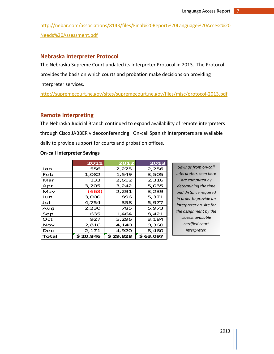[http://nebar.com/associations/8143/files/Final%20Report%20Language%20Access%20](http://nebar.com/associations/8143/files/Final%20Report%20Language%20Access%20Needs%20Assessment.pdf) [Needs%20Assessment.pdf](http://nebar.com/associations/8143/files/Final%20Report%20Language%20Access%20Needs%20Assessment.pdf)

#### **Nebraska Interpreter Protocol**

The Nebraska Supreme Court updated its Interpreter Protocol in 2013. The Protocol provides the basis on which courts and probation make decisions on providing interpreter services.

<http://supremecourt.ne.gov/sites/supremecourt.ne.gov/files/misc/protocol-2013.pdf>

#### **Remote Interpreting**

The Nebraska Judicial Branch continued to expand availability of remote interpreters through Cisco JABBER videoconferencing. On-call Spanish interpreters are available daily to provide support for courts and probation offices.

#### **On-call Interpreter Savings**

|            | 2011     | 2012      | 2013      |
|------------|----------|-----------|-----------|
| Jan        | 556      | 2,275     | 2,256     |
| Feb        | 1,082    | 1,549     | 3,505     |
| Mar        | 133      | 2,612     | 2,316     |
| Apr        | 3,205    | 3,242     | 5,035     |
| May        | (663)    | 2,291     | 3,239     |
| Jun        | 3,000    | 896       | 5,371     |
| Jul        | 4,754    | 358       | 5,977     |
| Aug        | 2,230    | 785       | 5,973     |
| Sep        | 635      | 1,464     | 8,421     |
| Oct        | 927      | 5,296     | 3,184     |
| <b>Nov</b> | 2,816    | 4,140     | 9,360     |
| Dec        | 2,171    | 4,920     | 8,460     |
| Total      | \$20,846 | \$ 29,828 | \$ 63,097 |

*Savings from on-call interpreters seen here are computed by determining the time and distance required in order to provide an interpreter on-site for the assignment by the closest available certified court interpreter.*

2013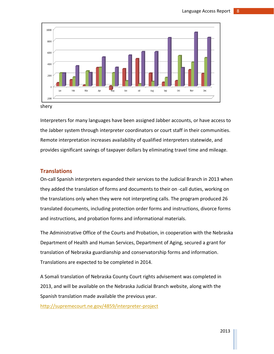

shery

Interpreters for many languages have been assigned Jabber accounts, or have access to the Jabber system through interpreter coordinators or court staff in their communities. Remote interpretation increases availability of qualified interpreters statewide, and provides significant savings of taxpayer dollars by eliminating travel time and mileage.

#### **Translations**

On-call Spanish interpreters expanded their services to the Judicial Branch in 2013 when they added the translation of forms and documents to their on -call duties, working on the translations only when they were not interpreting calls. The program produced 26 translated documents, including protection order forms and instructions, divorce forms and instructions, and probation forms and informational materials.

The Administrative Office of the Courts and Probation, in cooperation with the Nebraska Department of Health and Human Services, Department of Aging, secured a grant for translation of Nebraska guardianship and conservatorship forms and information. Translations are expected to be completed in 2014.

A Somali translation of Nebraska County Court rights advisement was completed in 2013, and will be available on the Nebraska Judicial Branch website, along with the Spanish translation made available the previous year.

<http://supremecourt.ne.gov/4859/interpreter-project>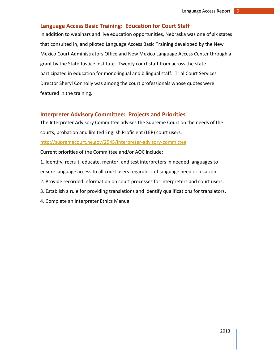#### **Language Access Basic Training: Education for Court Staff**

In addition to webinars and live education opportunities, Nebraska was one of six states that consulted in, and piloted Language Access Basic Training developed by the New Mexico Court Administrators Office and New Mexico Language Access Center through a grant by the State Justice Institute. Twenty court staff from across the state participated in education for monolingual and bilingual staff. Trial Court Services Director Sheryl Connolly was among the court professionals whose quotes were featured in the training.

#### **Interpreter Advisory Committee: Projects and Priorities**

The Interpreter Advisory Committee advises the Supreme Court on the needs of the courts, probation and limited English Proficient (LEP) court users.

<http://supremecourt.ne.gov/2545/interpreter-advisory-committee>

Current priorities of the Committee and/or AOC include:

- 1. Identify, recruit, educate, mentor, and test interpreters in needed languages to ensure language access to all court users regardless of language need or location.
- 2. Provide recorded information on court processes for interpreters and court users.
- 3. Establish a rule for providing translations and identify qualifications for translators.
- 4. Complete an Interpreter Ethics Manual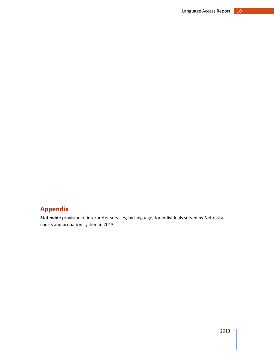**Statewide** provision of interpreter services, by language, for individuals served by Nebraska courts and probation system in 2013.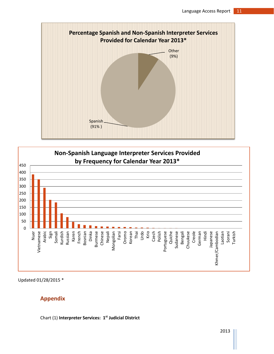



Updated 01/28/2015 \*

## **Appendix**

Chart (1) **Interpreter Services: 1 st Judicial District**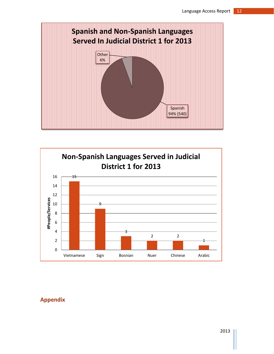

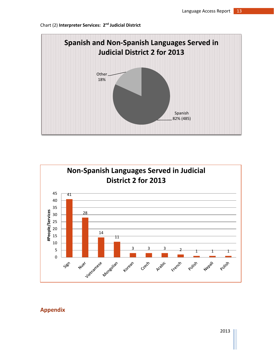



2013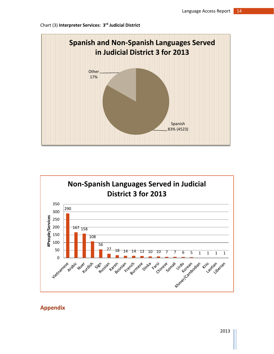



Chart (3) **Interpreter Services: 3 rd Judicial District**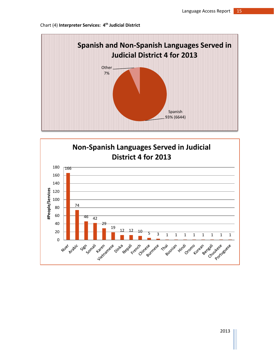# Spanish 93% (6644) Other 7% **Spanish and Non-Spanish Languages Served in Judicial District 4 for 2013**



#### Chart (4) **Interpreter Services: 4 th Judicial District**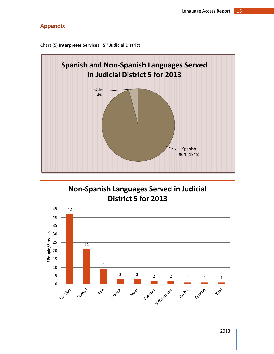

Chart (5) **Interpreter Services: 5 th Judicial District**

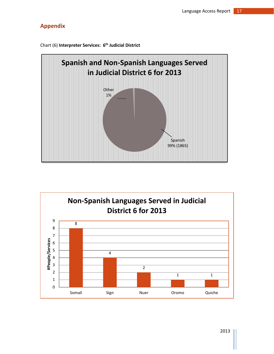

Chart (6) **Interpreter Services: 6 th Judicial District** 

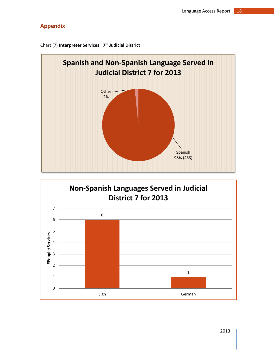

Chart (7) **Interpreter Services: 7 th Judicial District**

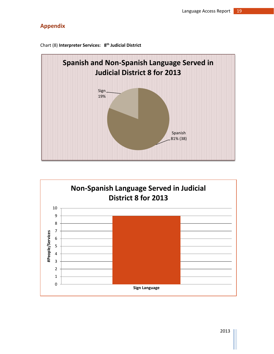

Chart (8) **Interpreter Services: 8 th Judicial District** 

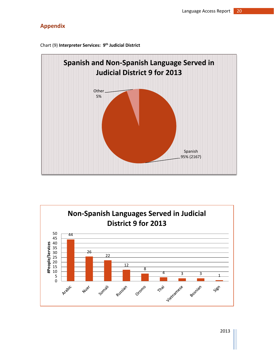

Chart (9) **Interpreter Services: 9 th Judicial District**

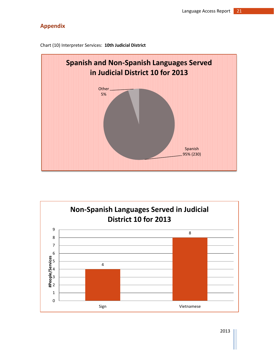

Chart (10) Interpreter Services: **10th Judicial District**



2013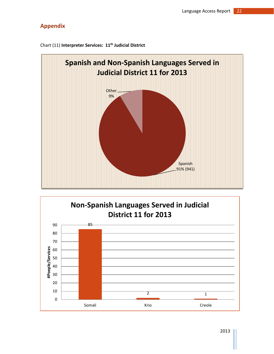

Chart (11) **Interpreter Services: 11th Judicial District**

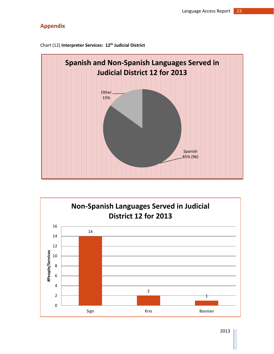

Chart (12) **Interpreter Services: 12th Judicial District**



2013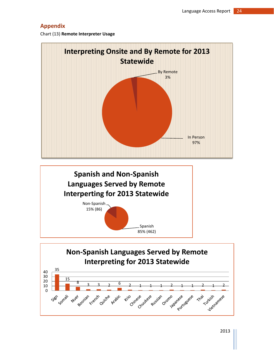Chart (13) **Remote Interpreter Usage**



Non-Spanish **Spanish and Non-Spanish Languages Served by Remote Interperting for 2013 Statewide**